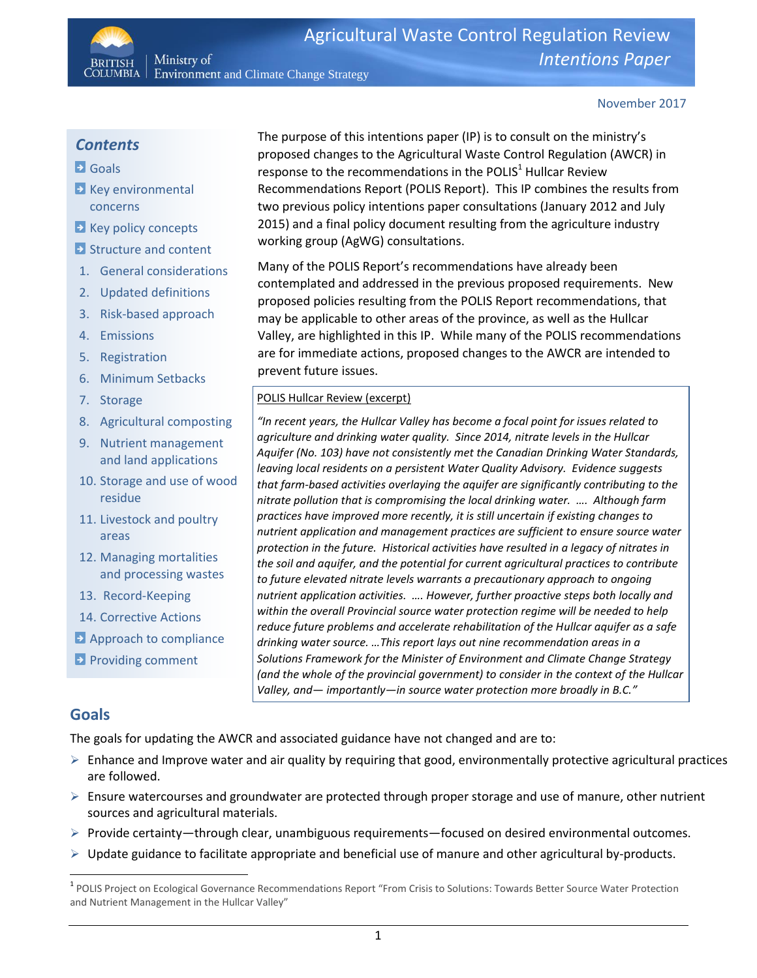November 2017

## *Contents*

**BRITISH** 

## **B** Goals

- $\blacktriangleright$  Key environmental concerns
- **EXECUTE:** Key policy concepts
- **B** Structure and content
- 1. General considerations

Ministry of

- 2. Updated definitions
- 3. Risk-based approach
- 4. Emissions
- 5. Registration
- 6. Minimum Setbacks
- 7. Storage
- 8. Agricultural composting
- 9. Nutrient management and land applications
- 10. Storage and use of wood residue
- 11. Livestock and poultry areas
- 12. Managing mortalities and processing wastes
- 13. Record-Keeping
- 14. Corrective Actions
- **Approach to compliance**
- **Providing comment**

# The purpose of this intentions paper (IP) is to consult on the ministry's proposed changes to the Agricultural Waste Control Regulation (AWCR) in response to the recommendations in the POLIS $1$  Hullcar Review Recommendations Report (POLIS Report). This IP combines the results from two previous policy intentions paper consultations (January 2012 and July 2015) and a final policy document resulting from the agriculture industry working group (AgWG) consultations.

Many of the POLIS Report's recommendations have already been contemplated and addressed in the previous proposed requirements. New proposed policies resulting from the POLIS Report recommendations, that may be applicable to other areas of the province, as well as the Hullcar Valley, are highlighted in this IP. While many of the POLIS recommendations are for immediate actions, proposed changes to the AWCR are intended to prevent future issues.

#### POLIS Hullcar Review (excerpt)

*"In recent years, the Hullcar Valley has become a focal point for issues related to agriculture and drinking water quality. Since 2014, nitrate levels in the Hullcar Aquifer (No. 103) have not consistently met the Canadian Drinking Water Standards, leaving local residents on a persistent Water Quality Advisory. Evidence suggests that farm-based activities overlaying the aquifer are significantly contributing to the nitrate pollution that is compromising the local drinking water. …. Although farm practices have improved more recently, it is still uncertain if existing changes to nutrient application and management practices are sufficient to ensure source water protection in the future. Historical activities have resulted in a legacy of nitrates in the soil and aquifer, and the potential for current agricultural practices to contribute to future elevated nitrate levels warrants a precautionary approach to ongoing nutrient application activities. …. However, further proactive steps both locally and within the overall Provincial source water protection regime will be needed to help reduce future problems and accelerate rehabilitation of the Hullcar aquifer as a safe drinking water source. …This report lays out nine recommendation areas in a Solutions Framework for the Minister of Environment and Climate Change Strategy (and the whole of the provincial government) to consider in the context of the Hullcar Valley, and— importantly—in source water protection more broadly in B.C."*

## **Goals**

 $\overline{\phantom{a}}$ 

The goals for updating the AWCR and associated guidance have not changed and are to:

- $\triangleright$  Enhance and Improve water and air quality by requiring that good, environmentally protective agricultural practices are followed.
- $\triangleright$  Ensure watercourses and groundwater are protected through proper storage and use of manure, other nutrient sources and agricultural materials.
- $\triangleright$  Provide certainty—through clear, unambiguous requirements—focused on desired environmental outcomes.
- $\triangleright$  Update guidance to facilitate appropriate and beneficial use of manure and other agricultural by-products.

<sup>&</sup>lt;sup>1</sup> POLIS Project on Ecological Governance Recommendations Report "From Crisis to Solutions: Towards Better Source Water Protection and Nutrient Management in the Hullcar Valley"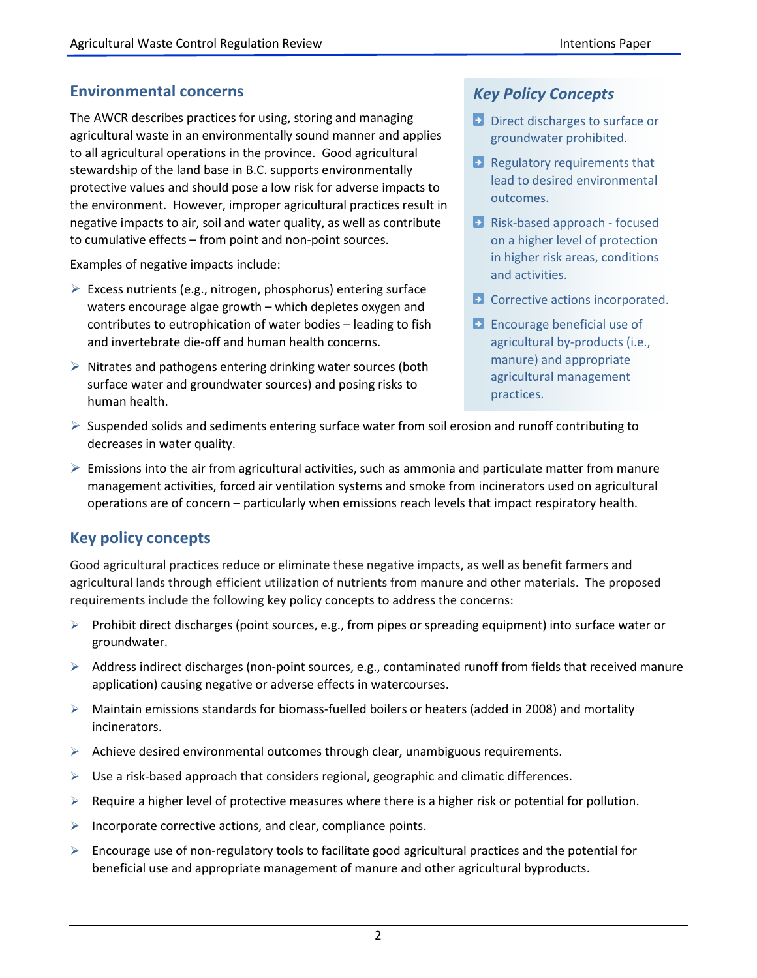# **Environmental concerns**

The AWCR describes practices for using, storing and managing agricultural waste in an environmentally sound manner and applies to all agricultural operations in the province. Good agricultural stewardship of the land base in B.C. supports environmentally protective values and should pose a low risk for adverse impacts to the environment. However, improper agricultural practices result in negative impacts to air, soil and water quality, as well as contribute to cumulative effects – from point and non-point sources.

Examples of negative impacts include:

- $\triangleright$  Excess nutrients (e.g., nitrogen, phosphorus) entering surface waters encourage algae growth – which depletes oxygen and contributes to eutrophication of water bodies – leading to fish and invertebrate die-off and human health concerns.
- $\triangleright$  Nitrates and pathogens entering drinking water sources (both surface water and groundwater sources) and posing risks to human health.

# *Key Policy Concepts*

- **Direct discharges to surface or** groundwater prohibited.
- **E** Regulatory requirements that lead to desired environmental outcomes.
- **E** Risk-based approach focused on a higher level of protection in higher risk areas, conditions and activities.
- **E** Corrective actions incorporated.
- **Encourage beneficial use of** agricultural by-products (i.e., manure) and appropriate agricultural management practices.
- $\triangleright$  Suspended solids and sediments entering surface water from soil erosion and runoff contributing to decreases in water quality.
- $\triangleright$  Emissions into the air from agricultural activities, such as ammonia and particulate matter from manure management activities, forced air ventilation systems and smoke from incinerators used on agricultural operations are of concern – particularly when emissions reach levels that impact respiratory health.

# **Key policy concepts**

Good agricultural practices reduce or eliminate these negative impacts, as well as benefit farmers and agricultural lands through efficient utilization of nutrients from manure and other materials. The proposed requirements include the following key policy concepts to address the concerns:

- Prohibit direct discharges (point sources, e.g., from pipes or spreading equipment) into surface water or groundwater.
- $\triangleright$  Address indirect discharges (non-point sources, e.g., contaminated runoff from fields that received manure application) causing negative or adverse effects in watercourses.
- $\triangleright$  Maintain emissions standards for biomass-fuelled boilers or heaters (added in 2008) and mortality incinerators.
- $\triangleright$  Achieve desired environmental outcomes through clear, unambiguous requirements.
- $\triangleright$  Use a risk-based approach that considers regional, geographic and climatic differences.
- $\triangleright$  Require a higher level of protective measures where there is a higher risk or potential for pollution.
- $\triangleright$  Incorporate corrective actions, and clear, compliance points.
- $\triangleright$  Encourage use of non-regulatory tools to facilitate good agricultural practices and the potential for beneficial use and appropriate management of manure and other agricultural byproducts.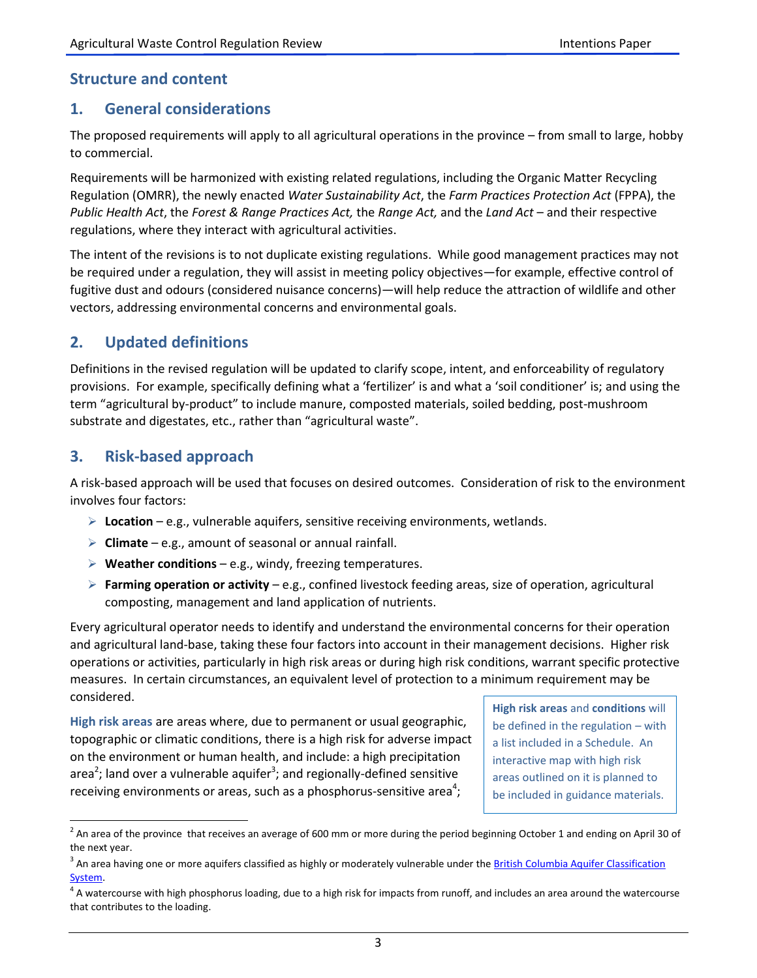# **Structure and content**

## **1. General considerations**

The proposed requirements will apply to all agricultural operations in the province – from small to large, hobby to commercial.

Requirements will be harmonized with existing related regulations, including the Organic Matter Recycling Regulation (OMRR), the newly enacted *Water Sustainability Act*, the *Farm Practices Protection Act* (FPPA), the *Public Health Act*, the *Forest & Range Practices Act,* the *Range Act,* and the *Land Act* – and their respective regulations, where they interact with agricultural activities.

The intent of the revisions is to not duplicate existing regulations. While good management practices may not be required under a regulation, they will assist in meeting policy objectives—for example, effective control of fugitive dust and odours (considered nuisance concerns)—will help reduce the attraction of wildlife and other vectors, addressing environmental concerns and environmental goals.

# **2. Updated definitions**

Definitions in the revised regulation will be updated to clarify scope, intent, and enforceability of regulatory provisions. For example, specifically defining what a 'fertilizer' is and what a 'soil conditioner' is; and using the term "agricultural by-product" to include manure, composted materials, soiled bedding, post-mushroom substrate and digestates, etc., rather than "agricultural waste".

# **3. Risk-based approach**

 $\overline{\phantom{a}}$ 

A risk-based approach will be used that focuses on desired outcomes. Consideration of risk to the environment involves four factors:

- **Location**  e.g., vulnerable aquifers, sensitive receiving environments, wetlands.
- **Climate**  e.g., amount of seasonal or annual rainfall.
- **Weather conditions**  e.g., windy, freezing temperatures.
- **Farming operation or activity**  e.g., confined livestock feeding areas, size of operation, agricultural composting, management and land application of nutrients.

Every agricultural operator needs to identify and understand the environmental concerns for their operation and agricultural land-base, taking these four factors into account in their management decisions. Higher risk operations or activities, particularly in high risk areas or during high risk conditions, warrant specific protective measures. In certain circumstances, an equivalent level of protection to a minimum requirement may be considered.

**High risk areas** are areas where, due to permanent or usual geographic, topographic or climatic conditions, there is a high risk for adverse impact on the environment or human health, and include: a high precipitation area<sup>2</sup>; land over a vulnerable aquifer<sup>3</sup>; and regionally-defined sensitive receiving environments or areas, such as a phosphorus-sensitive area<sup>4</sup>;

**High risk areas** and **conditions** will be defined in the regulation – with a list included in a Schedule. An interactive map with high risk areas outlined on it is planned to be included in guidance materials.

 $^2$  An area of the province that receives an average of 600 mm or more during the period beginning October 1 and ending on April 30 of the next year.

<sup>&</sup>lt;sup>3</sup> An area having one or more aquifers classified as highly or moderately vulnerable under the <u>British Columbia Aquifer Classification</u> [System.](http://www.env.gov.bc.ca/wsd/plan_protect_sustain/groundwater/aquifers/Aq_Classification/Aq_Class.html#class)

 $^4$  A watercourse with high phosphorus loading, due to a high risk for impacts from runoff, and includes an area around the watercourse that contributes to the loading.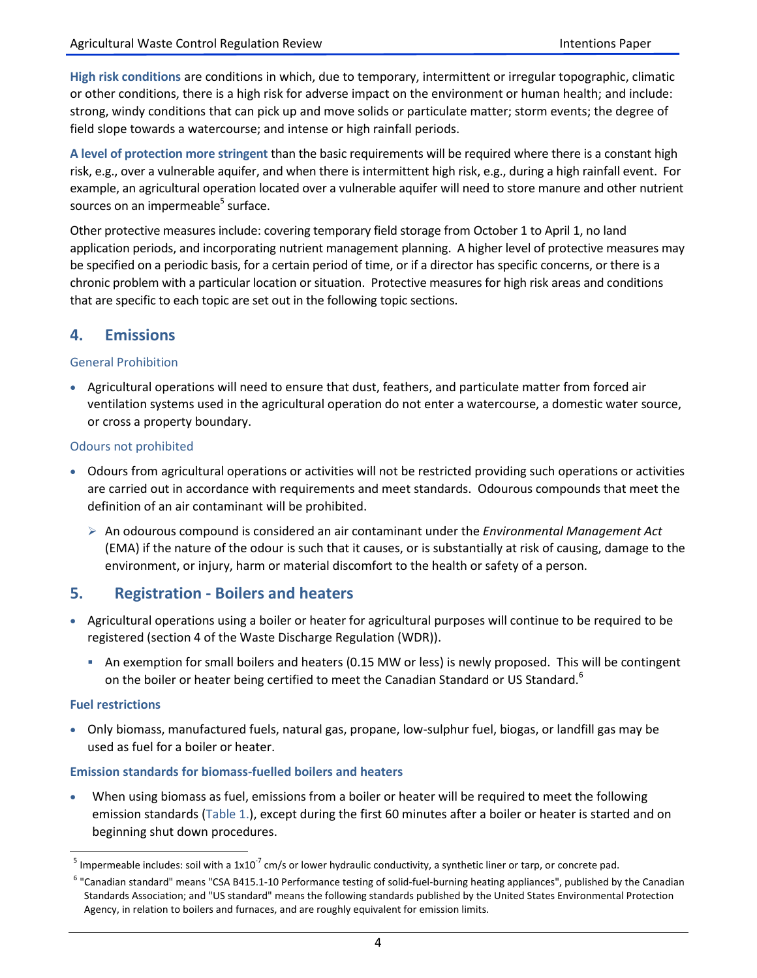**High risk conditions** are conditions in which, due to temporary, intermittent or irregular topographic, climatic or other conditions, there is a high risk for adverse impact on the environment or human health; and include: strong, windy conditions that can pick up and move solids or particulate matter; storm events; the degree of field slope towards a watercourse; and intense or high rainfall periods.

**A level of protection more stringent** than the basic requirements will be required where there is a constant high risk, e.g., over a vulnerable aquifer, and when there is intermittent high risk, e.g., during a high rainfall event. For example, an agricultural operation located over a vulnerable aquifer will need to store manure and other nutrient sources on an impermeable<sup>5</sup> surface.

Other protective measures include: covering temporary field storage from October 1 to April 1, no land application periods, and incorporating nutrient management planning. A higher level of protective measures may be specified on a periodic basis, for a certain period of time, or if a director has specific concerns, or there is a chronic problem with a particular location or situation. Protective measures for high risk areas and conditions that are specific to each topic are set out in the following topic sections.

## **4. Emissions**

### General Prohibition

 Agricultural operations will need to ensure that dust, feathers, and particulate matter from forced air ventilation systems used in the agricultural operation do not enter a watercourse, a domestic water source, or cross a property boundary.

### Odours not prohibited

- Odours from agricultural operations or activities will not be restricted providing such operations or activities are carried out in accordance with requirements and meet standards. Odourous compounds that meet the definition of an air contaminant will be prohibited.
	- An odourous compound is considered an air contaminant under the *Environmental Management Act* (EMA) if the nature of the odour is such that it causes, or is substantially at risk of causing, damage to the environment, or injury, harm or material discomfort to the health or safety of a person.

## **5. Registration - Boilers and heaters**

- Agricultural operations using a boiler or heater for agricultural purposes will continue to be required to be registered (section 4 of the Waste Discharge Regulation (WDR)).
	- An exemption for small boilers and heaters (0.15 MW or less) is newly proposed. This will be contingent on the boiler or heater being certified to meet the Canadian Standard or US Standard.<sup>6</sup>

#### **Fuel restrictions**

 $\overline{a}$ 

 Only biomass, manufactured fuels, natural gas, propane, low-sulphur fuel, biogas, or landfill gas may be used as fuel for a boiler or heater.

## **Emission standards for biomass-fuelled boilers and heaters**

 When using biomass as fuel, emissions from a boiler or heater will be required to meet the following emission standards (Table 1.), except during the first 60 minutes after a boiler or heater is started and on beginning shut down procedures.

<sup>&</sup>lt;sup>5</sup> Impermeable includes: soil with a 1x10<sup>-7</sup> cm/s or lower hydraulic conductivity, a synthetic liner or tarp, or concrete pad.

<sup>&</sup>lt;sup>6</sup> "Canadian standard" means "CSA B415.1-10 Performance testing of solid-fuel-burning heating appliances", published by the Canadian Standards Association; and "US standard" means the following standards published by the United States Environmental Protection Agency, in relation to boilers and furnaces, and are roughly equivalent for emission limits.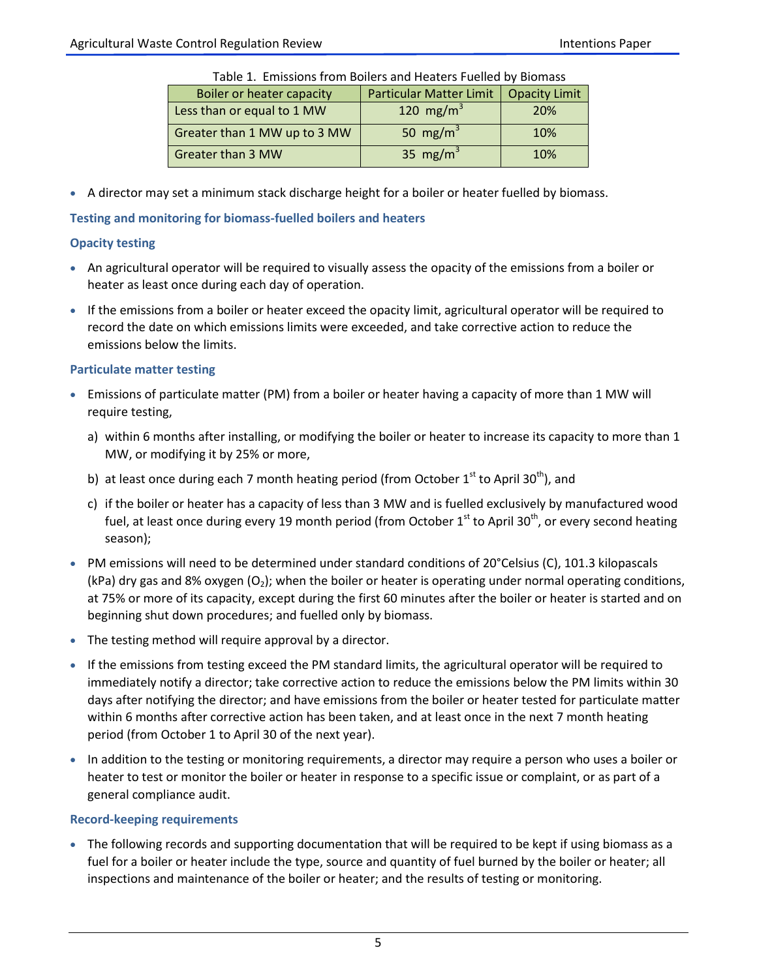| Table 1. Emissions from Bollers and Heaters Fuelled by Biomass |                                |                      |  |
|----------------------------------------------------------------|--------------------------------|----------------------|--|
| <b>Boiler or heater capacity</b>                               | <b>Particular Matter Limit</b> | <b>Opacity Limit</b> |  |
| Less than or equal to 1 MW                                     | 120 mg/m <sup>3</sup>          | 20%                  |  |
| Greater than 1 MW up to 3 MW                                   | 50 mg/m <sup>3</sup>           | 10%                  |  |
| Greater than 3 MW                                              | 35 mg/m <sup>3</sup>           | 10%                  |  |

Table 1. Emissions from Boilers and Heaters Fuelled by Biomass

A director may set a minimum stack discharge height for a boiler or heater fuelled by biomass.

### **Testing and monitoring for biomass-fuelled boilers and heaters**

### **Opacity testing**

- An agricultural operator will be required to visually assess the opacity of the emissions from a boiler or heater as least once during each day of operation.
- If the emissions from a boiler or heater exceed the opacity limit, agricultural operator will be required to record the date on which emissions limits were exceeded, and take corrective action to reduce the emissions below the limits.

## **Particulate matter testing**

- Emissions of particulate matter (PM) from a boiler or heater having a capacity of more than 1 MW will require testing,
	- a) within 6 months after installing, or modifying the boiler or heater to increase its capacity to more than 1 MW, or modifying it by 25% or more,
	- b) at least once during each 7 month heating period (from October  $1<sup>st</sup>$  to April 30<sup>th</sup>), and
	- c) if the boiler or heater has a capacity of less than 3 MW and is fuelled exclusively by manufactured wood fuel, at least once during every 19 month period (from October  $1<sup>st</sup>$  to April 30<sup>th</sup>, or every second heating season);
- PM emissions will need to be determined under standard conditions of 20°Celsius (C), 101.3 kilopascals (kPa) dry gas and 8% oxygen  $(O_2)$ ; when the boiler or heater is operating under normal operating conditions, at 75% or more of its capacity, except during the first 60 minutes after the boiler or heater is started and on beginning shut down procedures; and fuelled only by biomass.
- The testing method will require approval by a director.
- If the emissions from testing exceed the PM standard limits, the agricultural operator will be required to immediately notify a director; take corrective action to reduce the emissions below the PM limits within 30 days after notifying the director; and have emissions from the boiler or heater tested for particulate matter within 6 months after corrective action has been taken, and at least once in the next 7 month heating period (from October 1 to April 30 of the next year).
- In addition to the testing or monitoring requirements, a director may require a person who uses a boiler or heater to test or monitor the boiler or heater in response to a specific issue or complaint, or as part of a general compliance audit.

#### **Record-keeping requirements**

• The following records and supporting documentation that will be required to be kept if using biomass as a fuel for a boiler or heater include the type, source and quantity of fuel burned by the boiler or heater; all inspections and maintenance of the boiler or heater; and the results of testing or monitoring.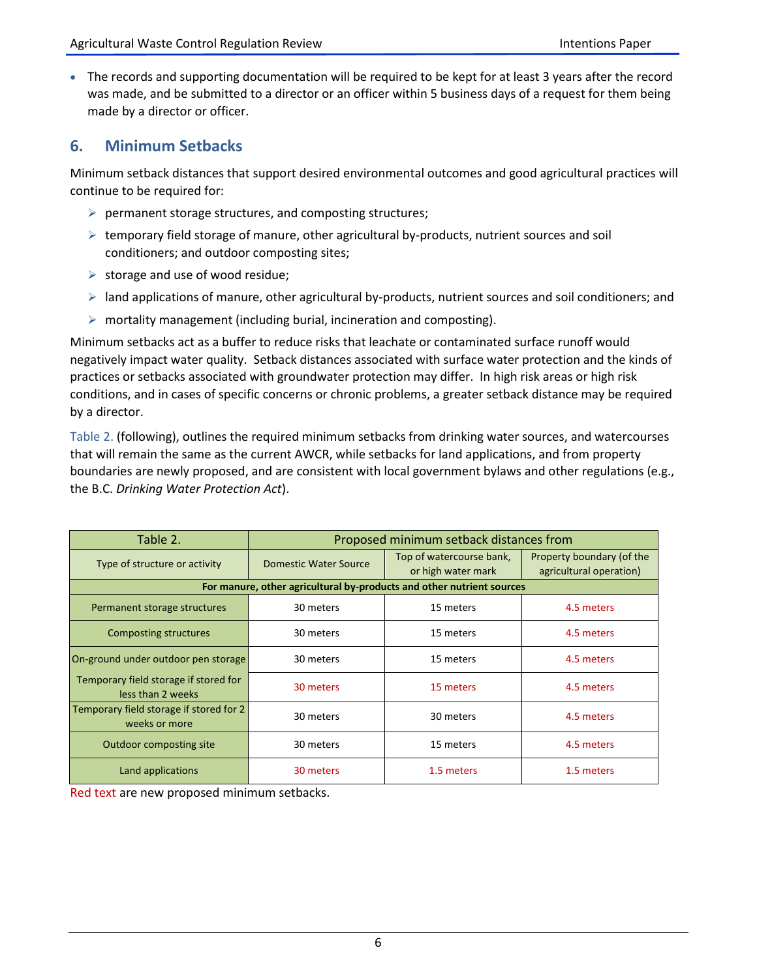The records and supporting documentation will be required to be kept for at least 3 years after the record was made, and be submitted to a director or an officer within 5 business days of a request for them being made by a director or officer.

## **6. Minimum Setbacks**

Minimum setback distances that support desired environmental outcomes and good agricultural practices will continue to be required for:

- $\triangleright$  permanent storage structures, and composting structures;
- $\triangleright$  temporary field storage of manure, other agricultural by-products, nutrient sources and soil conditioners; and outdoor composting sites;
- $\triangleright$  storage and use of wood residue;
- $\triangleright$  land applications of manure, other agricultural by-products, nutrient sources and soil conditioners; and
- $\triangleright$  mortality management (including burial, incineration and composting).

Minimum setbacks act as a buffer to reduce risks that leachate or contaminated surface runoff would negatively impact water quality. Setback distances associated with surface water protection and the kinds of practices or setbacks associated with groundwater protection may differ. In high risk areas or high risk conditions, and in cases of specific concerns or chronic problems, a greater setback distance may be required by a director.

Table 2. (following), outlines the required minimum setbacks from drinking water sources, and watercourses that will remain the same as the current AWCR, while setbacks for land applications, and from property boundaries are newly proposed, and are consistent with local government bylaws and other regulations (e.g., the B.C. *Drinking Water Protection Act*).

| Table 2.                                                   | Proposed minimum setback distances from |                                                                       |                                                      |  |
|------------------------------------------------------------|-----------------------------------------|-----------------------------------------------------------------------|------------------------------------------------------|--|
| Type of structure or activity                              | Domestic Water Source                   | Top of watercourse bank,<br>or high water mark                        | Property boundary (of the<br>agricultural operation) |  |
|                                                            |                                         | For manure, other agricultural by-products and other nutrient sources |                                                      |  |
| Permanent storage structures                               | 30 meters                               | 15 meters                                                             | 4.5 meters                                           |  |
| <b>Composting structures</b>                               | 30 meters                               | 15 meters                                                             | 4.5 meters                                           |  |
| On-ground under outdoor pen storage                        | 30 meters                               | 15 meters                                                             | 4.5 meters                                           |  |
| Temporary field storage if stored for<br>less than 2 weeks | 30 meters<br>15 meters                  |                                                                       | 4.5 meters                                           |  |
| Temporary field storage if stored for 2<br>weeks or more   | 30 meters                               | 30 meters                                                             | 4.5 meters                                           |  |
| <b>Outdoor composting site</b>                             | 30 meters                               | 15 meters                                                             | 4.5 meters                                           |  |
| Land applications                                          | 30 meters                               | 1.5 meters                                                            | 1.5 meters                                           |  |

Red text are new proposed minimum setbacks.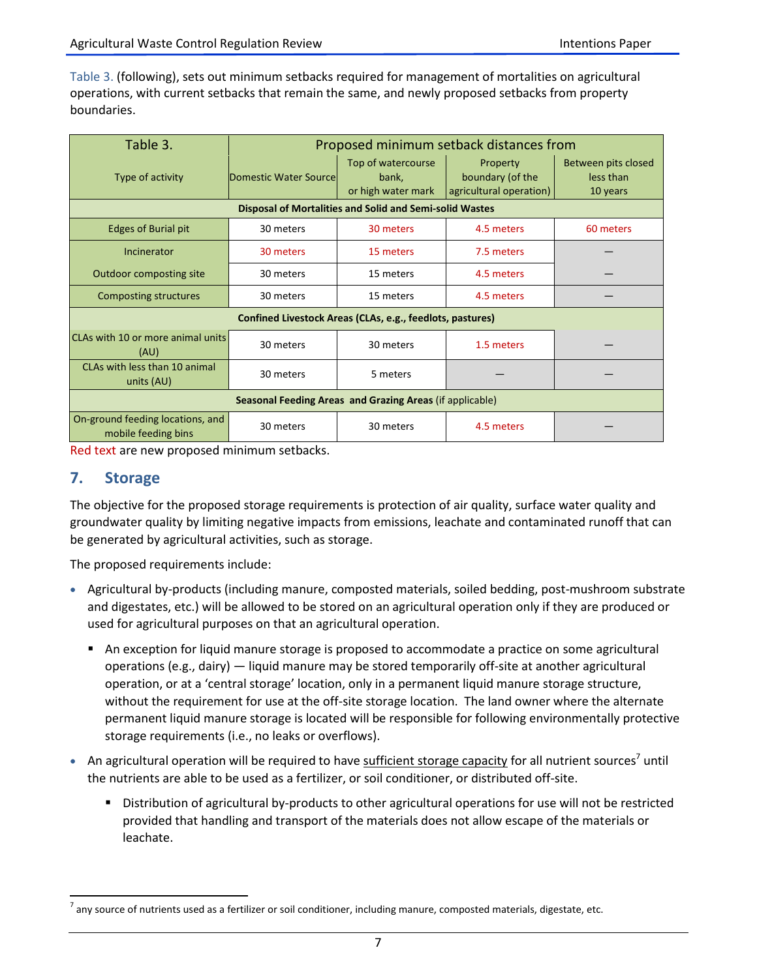Table 3. (following), sets out minimum setbacks required for management of mortalities on agricultural operations, with current setbacks that remain the same, and newly proposed setbacks from property boundaries.

| Table 3.                                                       | Proposed minimum setback distances from |                                                   |                                                         |                                              |  |
|----------------------------------------------------------------|-----------------------------------------|---------------------------------------------------|---------------------------------------------------------|----------------------------------------------|--|
| Type of activity                                               | Domestic Water Sourcel                  | Top of watercourse<br>bank,<br>or high water mark | Property<br>boundary (of the<br>agricultural operation) | Between pits closed<br>less than<br>10 years |  |
| <b>Disposal of Mortalities and Solid and Semi-solid Wastes</b> |                                         |                                                   |                                                         |                                              |  |
| <b>Edges of Burial pit</b>                                     | 30 meters                               | 30 meters                                         | 4.5 meters                                              | 60 meters                                    |  |
| Incinerator                                                    | 30 meters                               | 15 meters                                         | 7.5 meters                                              |                                              |  |
| <b>Outdoor composting site</b>                                 | 30 meters                               | 15 meters                                         | 4.5 meters                                              |                                              |  |
| Composting structures                                          | 30 meters                               | 15 meters                                         | 4.5 meters                                              |                                              |  |
| Confined Livestock Areas (CLAs, e.g., feedlots, pastures)      |                                         |                                                   |                                                         |                                              |  |
| CLAs with 10 or more animal units<br>(AU)                      | 30 meters                               | 30 meters                                         | 1.5 meters                                              |                                              |  |
| CLAs with less than 10 animal<br>units (AU)                    | 30 meters                               | 5 meters                                          |                                                         |                                              |  |
| Seasonal Feeding Areas and Grazing Areas (if applicable)       |                                         |                                                   |                                                         |                                              |  |
| On-ground feeding locations, and<br>mobile feeding bins        | 30 meters                               | 30 meters                                         | 4.5 meters                                              |                                              |  |

Red text are new proposed minimum setbacks.

## **7. Storage**

 $\overline{a}$ 

The objective for the proposed storage requirements is protection of air quality, surface water quality and groundwater quality by limiting negative impacts from emissions, leachate and contaminated runoff that can be generated by agricultural activities, such as storage.

The proposed requirements include:

- Agricultural by-products (including manure, composted materials, soiled bedding, post-mushroom substrate and digestates, etc.) will be allowed to be stored on an agricultural operation only if they are produced or used for agricultural purposes on that an agricultural operation.
	- An exception for liquid manure storage is proposed to accommodate a practice on some agricultural operations (e.g., dairy) — liquid manure may be stored temporarily off-site at another agricultural operation, or at a 'central storage' location, only in a permanent liquid manure storage structure, without the requirement for use at the off-site storage location. The land owner where the alternate permanent liquid manure storage is located will be responsible for following environmentally protective storage requirements (i.e., no leaks or overflows).
- An agricultural operation will be required to have sufficient storage capacity for all nutrient sources<sup>7</sup> until the nutrients are able to be used as a fertilizer, or soil conditioner, or distributed off-site.
	- Distribution of agricultural by-products to other agricultural operations for use will not be restricted provided that handling and transport of the materials does not allow escape of the materials or leachate.

 $^7$  any source of nutrients used as a fertilizer or soil conditioner, including manure, composted materials, digestate, etc.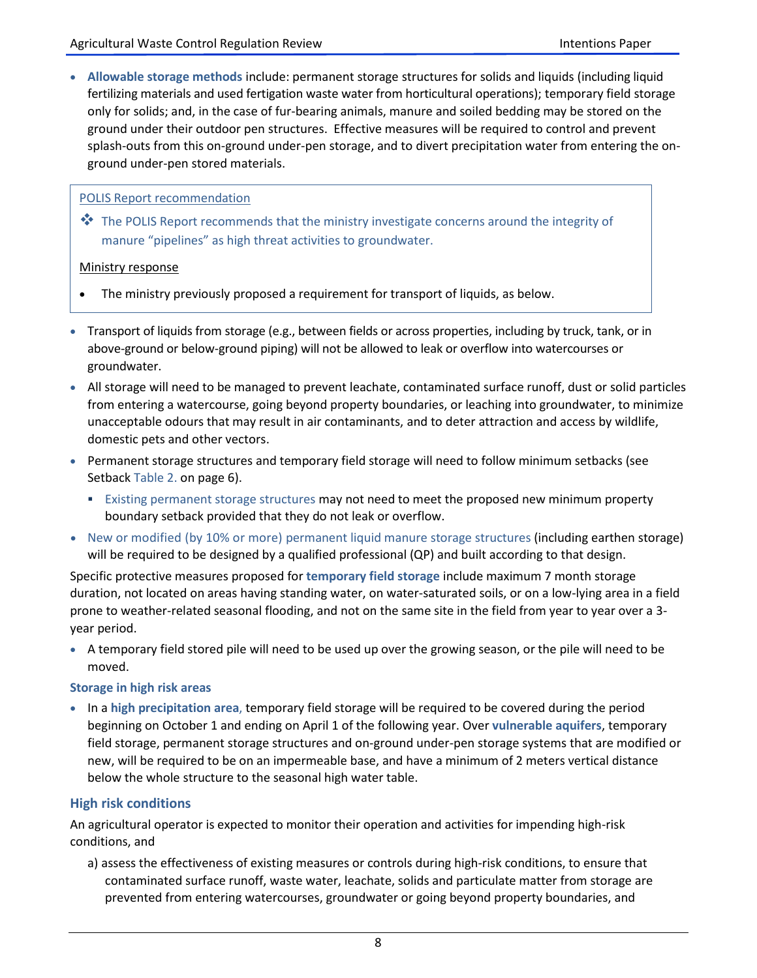**Allowable storage methods** include: permanent storage structures for solids and liquids (including liquid fertilizing materials and used fertigation waste water from horticultural operations); temporary field storage only for solids; and, in the case of fur-bearing animals, manure and soiled bedding may be stored on the ground under their outdoor pen structures. Effective measures will be required to control and prevent splash-outs from this on-ground under-pen storage, and to divert precipitation water from entering the onground under-pen stored materials.

### POLIS Report recommendation

 $\clubsuit$  The POLIS Report recommends that the ministry investigate concerns around the integrity of manure "pipelines" as high threat activities to groundwater.

#### Ministry response

- The ministry previously proposed a requirement for transport of liquids, as below.
- Transport of liquids from storage (e.g., between fields or across properties, including by truck, tank, or in above-ground or below-ground piping) will not be allowed to leak or overflow into watercourses or groundwater.
- All storage will need to be managed to prevent leachate, contaminated surface runoff, dust or solid particles from entering a watercourse, going beyond property boundaries, or leaching into groundwater, to minimize unacceptable odours that may result in air contaminants, and to deter attraction and access by wildlife, domestic pets and other vectors.
- Permanent storage structures and temporary field storage will need to follow minimum setbacks (see Setback Table 2. on page 6).
	- **Existing permanent storage structures may not need to meet the proposed new minimum property** boundary setback provided that they do not leak or overflow.
- New or modified (by 10% or more) permanent liquid manure storage structures (including earthen storage) will be required to be designed by a qualified professional (QP) and built according to that design.

Specific protective measures proposed for **temporary field storage** include maximum 7 month storage duration, not located on areas having standing water, on water-saturated soils, or on a low-lying area in a field prone to weather-related seasonal flooding, and not on the same site in the field from year to year over a 3 year period.

 A temporary field stored pile will need to be used up over the growing season, or the pile will need to be moved.

#### **Storage in high risk areas**

 In a **high precipitation area**, temporary field storage will be required to be covered during the period beginning on October 1 and ending on April 1 of the following year. Over **vulnerable aquifers**, temporary field storage, permanent storage structures and on-ground under-pen storage systems that are modified or new, will be required to be on an impermeable base, and have a minimum of 2 meters vertical distance below the whole structure to the seasonal high water table.

## **High risk conditions**

An agricultural operator is expected to monitor their operation and activities for impending high-risk conditions, and

a) assess the effectiveness of existing measures or controls during high-risk conditions, to ensure that contaminated surface runoff, waste water, leachate, solids and particulate matter from storage are prevented from entering watercourses, groundwater or going beyond property boundaries, and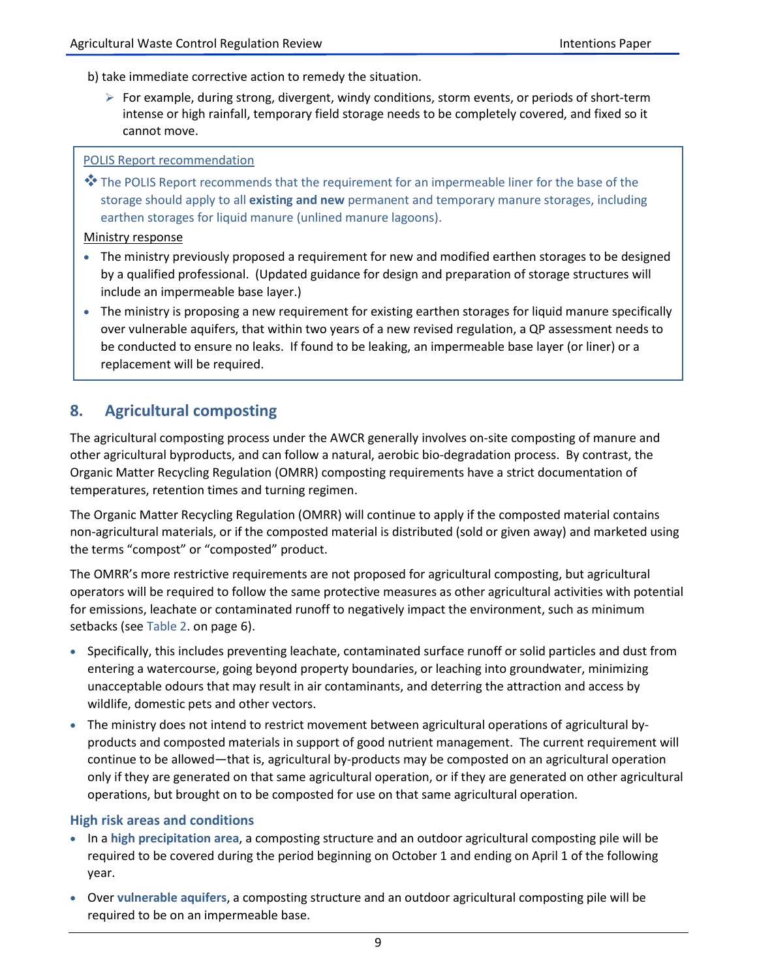b) take immediate corrective action to remedy the situation.

 $\triangleright$  For example, during strong, divergent, windy conditions, storm events, or periods of short-term intense or high rainfall, temporary field storage needs to be completely covered, and fixed so it cannot move.

#### POLIS Report recommendation

\* The POLIS Report recommends that the requirement for an impermeable liner for the base of the storage should apply to all **existing and new** permanent and temporary manure storages, including earthen storages for liquid manure (unlined manure lagoons).

#### Ministry response

- The ministry previously proposed a requirement for new and modified earthen storages to be designed by a qualified professional. (Updated guidance for design and preparation of storage structures will include an impermeable base layer.)
- The ministry is proposing a new requirement for existing earthen storages for liquid manure specifically over vulnerable aquifers, that within two years of a new revised regulation, a QP assessment needs to be conducted to ensure no leaks. If found to be leaking, an impermeable base layer (or liner) or a replacement will be required.

# **8. Agricultural composting**

The agricultural composting process under the AWCR generally involves on-site composting of manure and other agricultural byproducts, and can follow a natural, aerobic bio-degradation process. By contrast, the Organic Matter Recycling Regulation (OMRR) composting requirements have a strict documentation of temperatures, retention times and turning regimen.

The Organic Matter Recycling Regulation (OMRR) will continue to apply if the composted material contains non-agricultural materials, or if the composted material is distributed (sold or given away) and marketed using the terms "compost" or "composted" product.

The OMRR's more restrictive requirements are not proposed for agricultural composting, but agricultural operators will be required to follow the same protective measures as other agricultural activities with potential for emissions, leachate or contaminated runoff to negatively impact the environment, such as minimum setbacks (see Table 2. on page 6).

- Specifically, this includes preventing leachate, contaminated surface runoff or solid particles and dust from entering a watercourse, going beyond property boundaries, or leaching into groundwater, minimizing unacceptable odours that may result in air contaminants, and deterring the attraction and access by wildlife, domestic pets and other vectors.
- The ministry does not intend to restrict movement between agricultural operations of agricultural byproducts and composted materials in support of good nutrient management. The current requirement will continue to be allowed—that is, agricultural by-products may be composted on an agricultural operation only if they are generated on that same agricultural operation, or if they are generated on other agricultural operations, but brought on to be composted for use on that same agricultural operation.

#### **High risk areas and conditions**

- In a **high precipitation area**, a composting structure and an outdoor agricultural composting pile will be required to be covered during the period beginning on October 1 and ending on April 1 of the following year.
- Over **vulnerable aquifers**, a composting structure and an outdoor agricultural composting pile will be required to be on an impermeable base.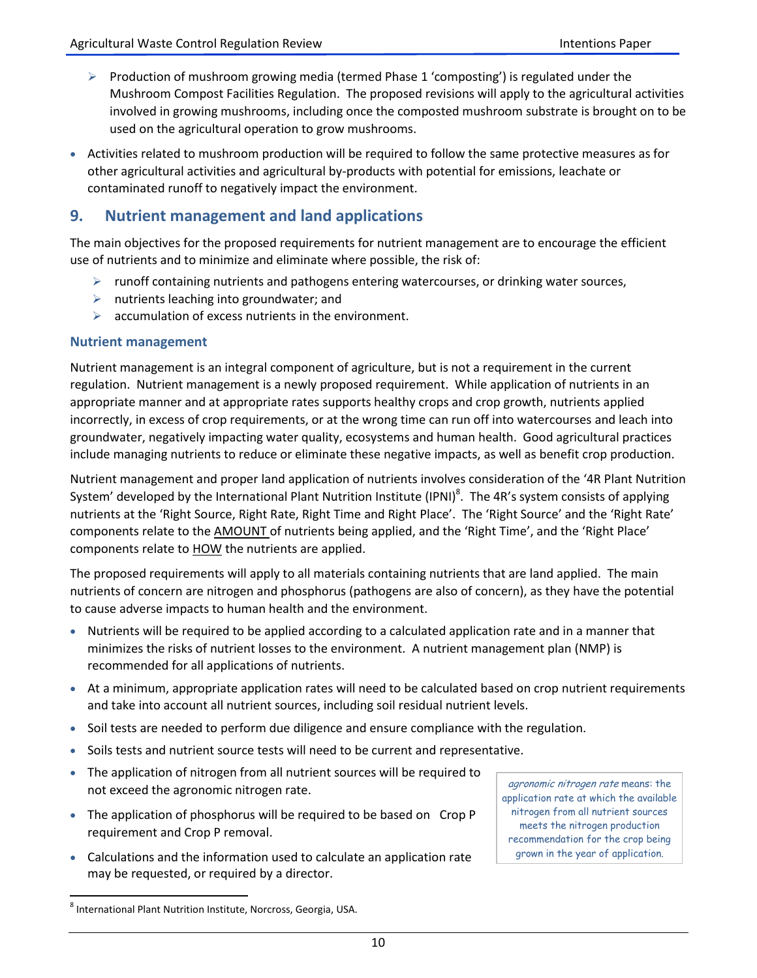- $\triangleright$  Production of mushroom growing media (termed Phase 1 'composting') is regulated under the Mushroom Compost Facilities Regulation. The proposed revisions will apply to the agricultural activities involved in growing mushrooms, including once the composted mushroom substrate is brought on to be used on the agricultural operation to grow mushrooms.
- Activities related to mushroom production will be required to follow the same protective measures as for other agricultural activities and agricultural by-products with potential for emissions, leachate or contaminated runoff to negatively impact the environment.

# **9. Nutrient management and land applications**

The main objectives for the proposed requirements for nutrient management are to encourage the efficient use of nutrients and to minimize and eliminate where possible, the risk of:

- $\triangleright$  runoff containing nutrients and pathogens entering watercourses, or drinking water sources,
- $\triangleright$  nutrients leaching into groundwater; and
- $\triangleright$  accumulation of excess nutrients in the environment.

### **Nutrient management**

Nutrient management is an integral component of agriculture, but is not a requirement in the current regulation. Nutrient management is a newly proposed requirement. While application of nutrients in an appropriate manner and at appropriate rates supports healthy crops and crop growth, nutrients applied incorrectly, in excess of crop requirements, or at the wrong time can run off into watercourses and leach into groundwater, negatively impacting water quality, ecosystems and human health. Good agricultural practices include managing nutrients to reduce or eliminate these negative impacts, as well as benefit crop production.

Nutrient management and proper land application of nutrients involves consideration of the '4R Plant Nutrition System' developed by the International Plant Nutrition Institute (IPNI)<sup>8</sup>. The 4R's system consists of applying nutrients at the 'Right Source, Right Rate, Right Time and Right Place'. The 'Right Source' and the 'Right Rate' components relate to the AMOUNT of nutrients being applied, and the 'Right Time', and the 'Right Place' components relate to **HOW** the nutrients are applied.

The proposed requirements will apply to all materials containing nutrients that are land applied. The main nutrients of concern are nitrogen and phosphorus (pathogens are also of concern), as they have the potential to cause adverse impacts to human health and the environment.

- Nutrients will be required to be applied according to a calculated application rate and in a manner that minimizes the risks of nutrient losses to the environment. A nutrient management plan (NMP) is recommended for all applications of nutrients.
- At a minimum, appropriate application rates will need to be calculated based on crop nutrient requirements and take into account all nutrient sources, including soil residual nutrient levels.
- Soil tests are needed to perform due diligence and ensure compliance with the regulation.
- Soils tests and nutrient source tests will need to be current and representative.
- The application of nitrogen from all nutrient sources will be required to not exceed the agronomic nitrogen rate.
- The application of phosphorus will be required to be based on Crop P requirement and Crop P removal.
- Calculations and the information used to calculate an application rate may be requested, or required by a director.

agronomic nitrogen rate means: the application rate at which the available nitrogen from all nutrient sources meets the nitrogen production recommendation for the crop being grown in the year of application.

 $\overline{a}$ <sup>8</sup> International Plant Nutrition Institute, Norcross, Georgia, USA.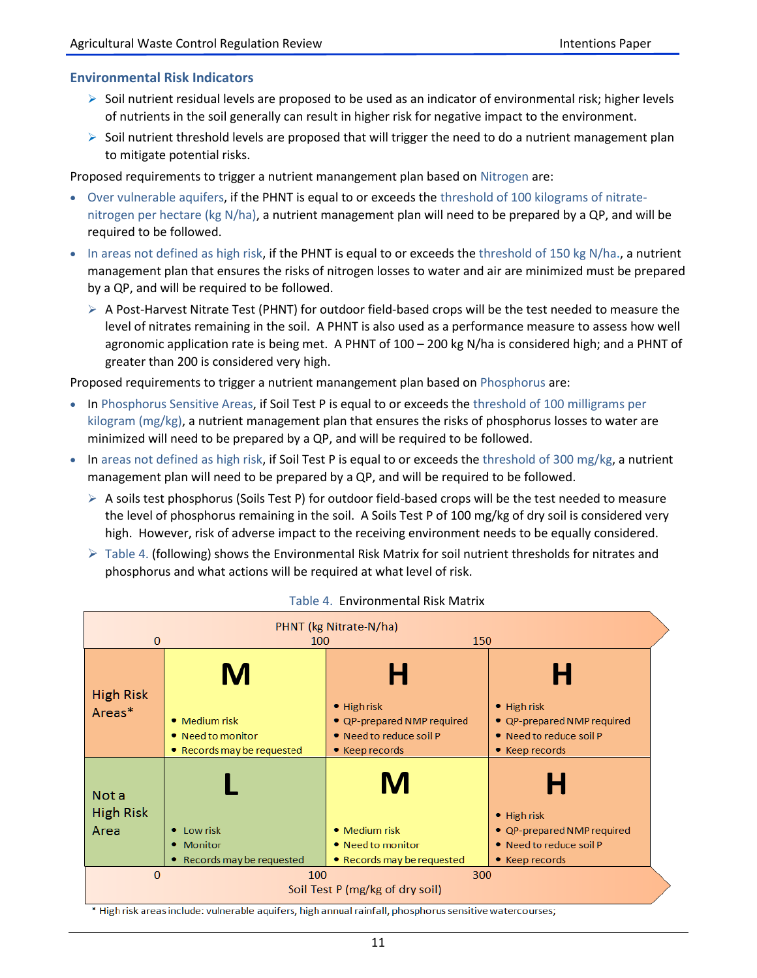## **Environmental Risk Indicators**

- $\triangleright$  Soil nutrient residual levels are proposed to be used as an indicator of environmental risk; higher levels of nutrients in the soil generally can result in higher risk for negative impact to the environment.
- $\triangleright$  Soil nutrient threshold levels are proposed that will trigger the need to do a nutrient management plan to mitigate potential risks.

Proposed requirements to trigger a nutrient manangement plan based on Nitrogen are:

- Over vulnerable aquifers, if the PHNT is equal to or exceeds the threshold of 100 kilograms of nitratenitrogen per hectare (kg N/ha), a nutrient management plan will need to be prepared by a QP, and will be required to be followed.
- $\bullet$  In areas not defined as high risk, if the PHNT is equal to or exceeds the threshold of 150 kg N/ha., a nutrient management plan that ensures the risks of nitrogen losses to water and air are minimized must be prepared by a QP, and will be required to be followed.
	- $\triangleright$  A Post-Harvest Nitrate Test (PHNT) for outdoor field-based crops will be the test needed to measure the level of nitrates remaining in the soil. A PHNT is also used as a performance measure to assess how well agronomic application rate is being met. A PHNT of 100 – 200 kg N/ha is considered high; and a PHNT of greater than 200 is considered very high.

Proposed requirements to trigger a nutrient manangement plan based on Phosphorus are:

- In Phosphorus Sensitive Areas, if Soil Test P is equal to or exceeds the threshold of 100 milligrams per kilogram (mg/kg), a nutrient management plan that ensures the risks of phosphorus losses to water are minimized will need to be prepared by a QP, and will be required to be followed.
- In areas not defined as high risk, if Soil Test P is equal to or exceeds the threshold of 300 mg/kg, a nutrient management plan will need to be prepared by a QP, and will be required to be followed.
	- $\triangleright$  A soils test phosphorus (Soils Test P) for outdoor field-based crops will be the test needed to measure the level of phosphorus remaining in the soil. A Soils Test P of 100 mg/kg of dry soil is considered very high. However, risk of adverse impact to the receiving environment needs to be equally considered.
	- $\triangleright$  Table 4. (following) shows the Environmental Risk Matrix for soil nutrient thresholds for nitrates and phosphorus and what actions will be required at what level of risk.



#### Table 4. Environmental Risk Matrix

\* High risk areas include: vulnerable aquifers, high annual rainfall, phosphorus sensitive watercourses;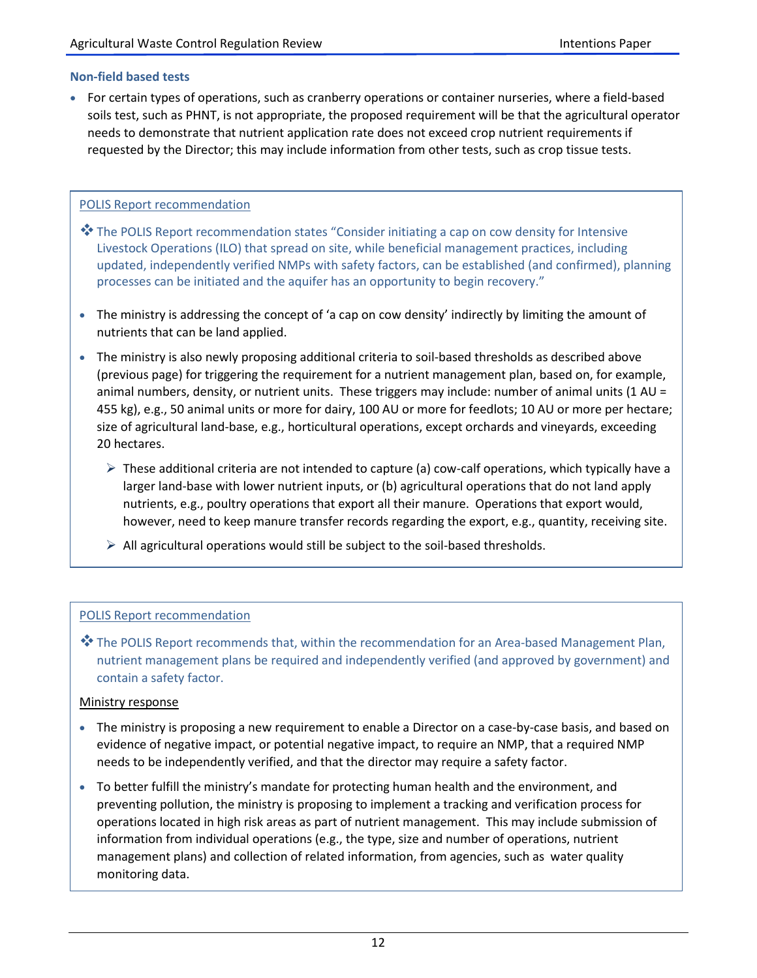#### **Non-field based tests**

 For certain types of operations, such as cranberry operations or container nurseries, where a field-based soils test, such as PHNT, is not appropriate, the proposed requirement will be that the agricultural operator needs to demonstrate that nutrient application rate does not exceed crop nutrient requirements if requested by the Director; this may include information from other tests, such as crop tissue tests.

### POLIS Report recommendation

- $*$  The POLIS Report recommendation states "Consider initiating a cap on cow density for Intensive Livestock Operations (ILO) that spread on site, while beneficial management practices, including updated, independently verified NMPs with safety factors, can be established (and confirmed), planning processes can be initiated and the aquifer has an opportunity to begin recovery."
- The ministry is addressing the concept of 'a cap on cow density' indirectly by limiting the amount of nutrients that can be land applied.
- The ministry is also newly proposing additional criteria to soil-based thresholds as described above (previous page) for triggering the requirement for a nutrient management plan, based on, for example, animal numbers, density, or nutrient units. These triggers may include: number of animal units (1 AU = 455 kg), e.g., 50 animal units or more for dairy, 100 AU or more for feedlots; 10 AU or more per hectare; size of agricultural land-base, e.g., horticultural operations, except orchards and vineyards, exceeding 20 hectares.
	- $\triangleright$  These additional criteria are not intended to capture (a) cow-calf operations, which typically have a larger land-base with lower nutrient inputs, or (b) agricultural operations that do not land apply nutrients, e.g., poultry operations that export all their manure. Operations that export would, however, need to keep manure transfer records regarding the export, e.g., quantity, receiving site.
	- $\triangleright$  All agricultural operations would still be subject to the soil-based thresholds.

## POLIS Report recommendation

**\*\*** The POLIS Report recommends that, within the recommendation for an Area-based Management Plan, nutrient management plans be required and independently verified (and approved by government) and contain a safety factor.

#### Ministry response

- The ministry is proposing a new requirement to enable a Director on a case-by-case basis, and based on evidence of negative impact, or potential negative impact, to require an NMP, that a required NMP needs to be independently verified, and that the director may require a safety factor.
- To better fulfill the ministry's mandate for protecting human health and the environment, and preventing pollution, the ministry is proposing to implement a tracking and verification process for operations located in high risk areas as part of nutrient management. This may include submission of information from individual operations (e.g., the type, size and number of operations, nutrient management plans) and collection of related information, from agencies, such as water quality monitoring data.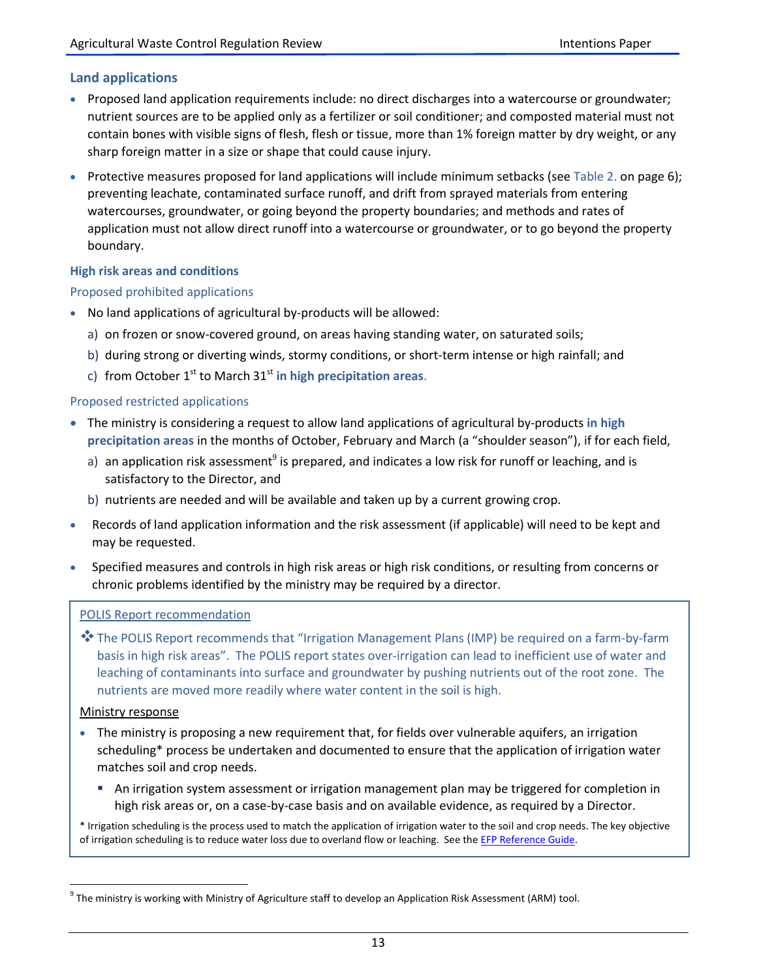## **Land applications**

- Proposed land application requirements include: no direct discharges into a watercourse or groundwater; nutrient sources are to be applied only as a fertilizer or soil conditioner; and composted material must not contain bones with visible signs of flesh, flesh or tissue, more than 1% foreign matter by dry weight, or any sharp foreign matter in a size or shape that could cause injury.
- Protective measures proposed for land applications will include minimum setbacks (see Table 2. on page 6); preventing leachate, contaminated surface runoff, and drift from sprayed materials from entering watercourses, groundwater, or going beyond the property boundaries; and methods and rates of application must not allow direct runoff into a watercourse or groundwater, or to go beyond the property boundary.

#### **High risk areas and conditions**

### Proposed prohibited applications

- No land applications of agricultural by-products will be allowed:
	- a) on frozen or snow-covered ground, on areas having standing water, on saturated soils;
	- b) during strong or diverting winds, stormy conditions, or short-term intense or high rainfall; and
	- c) from October  $1<sup>st</sup>$  to March  $31<sup>st</sup>$  in high precipitation areas.

### Proposed restricted applications

- The ministry is considering a request to allow land applications of agricultural by-products **in high precipitation areas** in the months of October, February and March (a "shoulder season"), if for each field,
	- a) an application risk assessment<sup>9</sup> is prepared, and indicates a low risk for runoff or leaching, and is satisfactory to the Director, and
	- b) nutrients are needed and will be available and taken up by a current growing crop.
- Records of land application information and the risk assessment (if applicable) will need to be kept and may be requested.
- Specified measures and controls in high risk areas or high risk conditions, or resulting from concerns or chronic problems identified by the ministry may be required by a director.

#### POLIS Report recommendation

**\*** The POLIS Report recommends that "Irrigation Management Plans (IMP) be required on a farm-by-farm basis in high risk areas". The POLIS report states over-irrigation can lead to inefficient use of water and leaching of contaminants into surface and groundwater by pushing nutrients out of the root zone. The nutrients are moved more readily where water content in the soil is high.

#### Ministry response

 $\overline{a}$ 

- The ministry is proposing a new requirement that, for fields over vulnerable aquifers, an irrigation scheduling\* process be undertaken and documented to ensure that the application of irrigation water matches soil and crop needs.
	- An irrigation system assessment or irrigation management plan may be triggered for completion in high risk areas or, on a case-by-case basis and on available evidence, as required by a Director.

\* Irrigation scheduling is the process used to match the application of irrigation water to the soil and crop needs. The key objective of irrigation scheduling is to reduce water loss due to overland flow or leaching. See the [EFP Reference Guide.](https://www2.gov.bc.ca/assets/gov/farming-natural-resources-and-industry/agriculture-and-seafood/agricultural-land-and-environment/environmental-farm-planning/efp-reference-guide/full_efp_reference_guide.pdf#page=273))

 $^9$  The ministry is working with Ministry of Agriculture staff to develop an Application Risk Assessment (ARM) tool.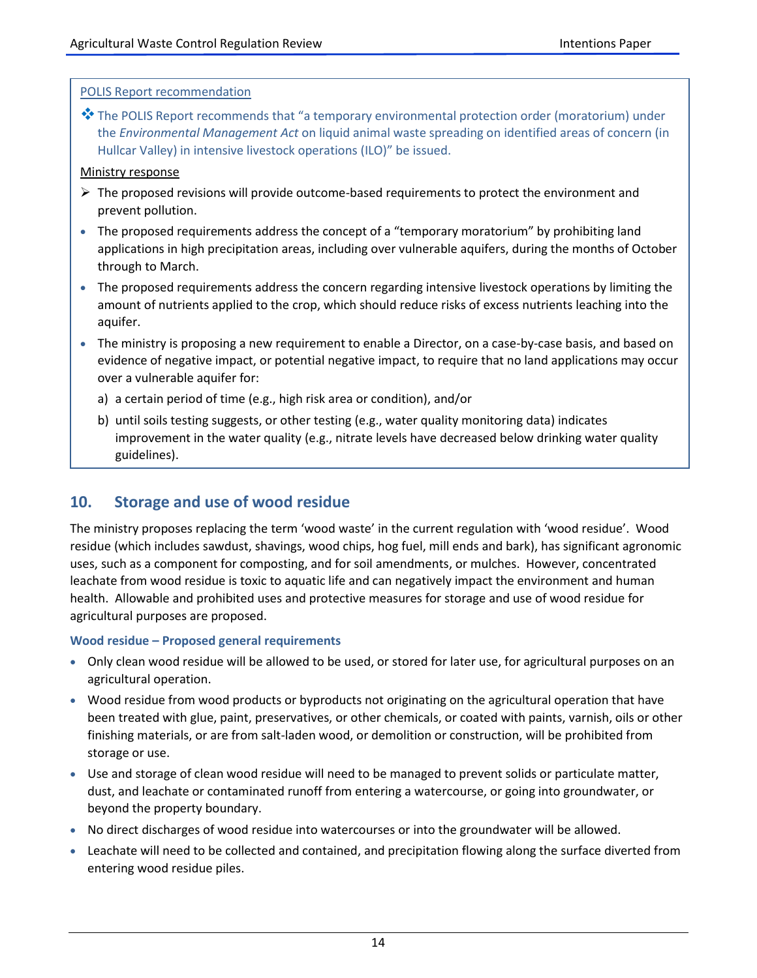#### POLIS Report recommendation

 $\dots$  The POLIS Report recommends that "a temporary environmental protection order (moratorium) under the *Environmental Management Act* on liquid animal waste spreading on identified areas of concern (in Hullcar Valley) in intensive livestock operations (ILO)" be issued.

#### Ministry response

- $\triangleright$  The proposed revisions will provide outcome-based requirements to protect the environment and prevent pollution.
- The proposed requirements address the concept of a "temporary moratorium" by prohibiting land applications in high precipitation areas, including over vulnerable aquifers, during the months of October through to March.
- The proposed requirements address the concern regarding intensive livestock operations by limiting the amount of nutrients applied to the crop, which should reduce risks of excess nutrients leaching into the aquifer.
- The ministry is proposing a new requirement to enable a Director, on a case-by-case basis, and based on evidence of negative impact, or potential negative impact, to require that no land applications may occur over a vulnerable aquifer for:
	- a) a certain period of time (e.g., high risk area or condition), and/or
	- b) until soils testing suggests, or other testing (e.g., water quality monitoring data) indicates improvement in the water quality (e.g., nitrate levels have decreased below drinking water quality guidelines).

# **10. Storage and use of wood residue**

The ministry proposes replacing the term 'wood waste' in the current regulation with 'wood residue'. Wood residue (which includes sawdust, shavings, wood chips, hog fuel, mill ends and bark), has significant agronomic uses, such as a component for composting, and for soil amendments, or mulches. However, concentrated leachate from wood residue is toxic to aquatic life and can negatively impact the environment and human health. Allowable and prohibited uses and protective measures for storage and use of wood residue for agricultural purposes are proposed.

#### **Wood residue – Proposed general requirements**

- Only clean wood residue will be allowed to be used, or stored for later use, for agricultural purposes on an agricultural operation.
- Wood residue from wood products or byproducts not originating on the agricultural operation that have been treated with glue, paint, preservatives, or other chemicals, or coated with paints, varnish, oils or other finishing materials, or are from salt-laden wood, or demolition or construction, will be prohibited from storage or use.
- Use and storage of clean wood residue will need to be managed to prevent solids or particulate matter, dust, and leachate or contaminated runoff from entering a watercourse, or going into groundwater, or beyond the property boundary.
- No direct discharges of wood residue into watercourses or into the groundwater will be allowed.
- Leachate will need to be collected and contained, and precipitation flowing along the surface diverted from entering wood residue piles.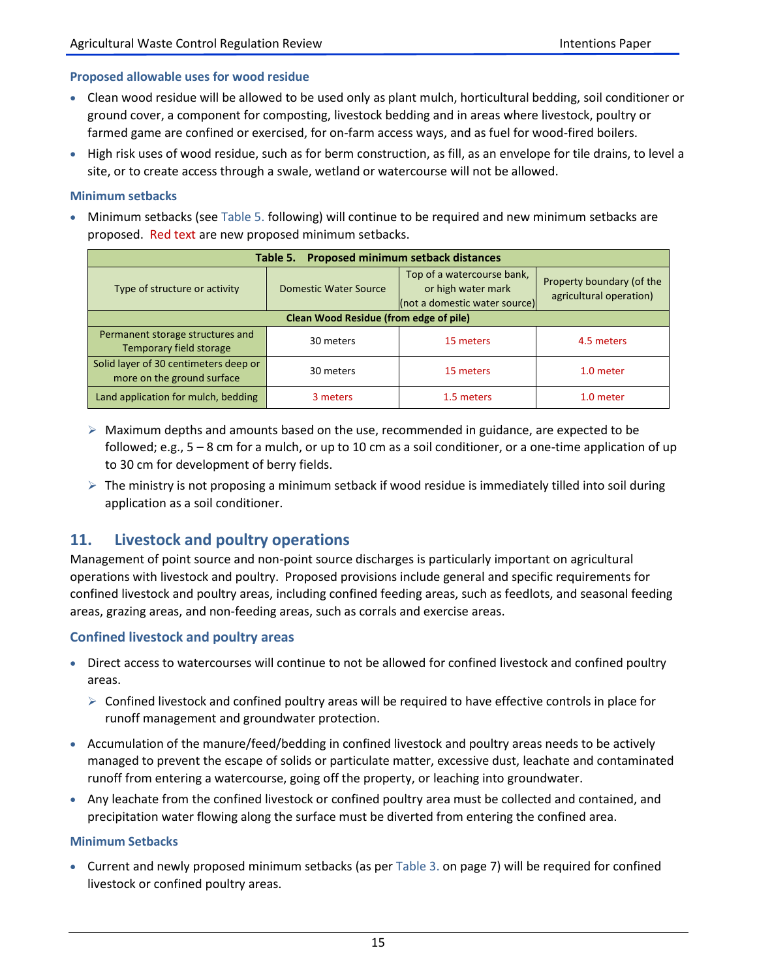#### **Proposed allowable uses for wood residue**

- Clean wood residue will be allowed to be used only as plant mulch, horticultural bedding, soil conditioner or ground cover, a component for composting, livestock bedding and in areas where livestock, poultry or farmed game are confined or exercised, for on-farm access ways, and as fuel for wood-fired boilers.
- High risk uses of wood residue, such as for berm construction, as fill, as an envelope for tile drains, to level a site, or to create access through a swale, wetland or watercourse will not be allowed.

#### **Minimum setbacks**

 Minimum setbacks (see Table 5. following) will continue to be required and new minimum setbacks are proposed. Red text are new proposed minimum setbacks.

| Table 5. Proposed minimum setback distances                         |                              |                                                                                   |                                                      |  |
|---------------------------------------------------------------------|------------------------------|-----------------------------------------------------------------------------------|------------------------------------------------------|--|
| Type of structure or activity                                       | <b>Domestic Water Source</b> | Top of a watercourse bank,<br>or high water mark<br>(not a domestic water source) | Property boundary (of the<br>agricultural operation) |  |
| Clean Wood Residue (from edge of pile)                              |                              |                                                                                   |                                                      |  |
| Permanent storage structures and<br>Temporary field storage         | 30 meters                    | 15 meters                                                                         | 4.5 meters                                           |  |
| Solid layer of 30 centimeters deep or<br>more on the ground surface | 30 meters                    | 15 meters                                                                         | 1.0 meter                                            |  |
| Land application for mulch, bedding                                 | 3 meters                     | 1.5 meters                                                                        | 1.0 meter                                            |  |

- $\triangleright$  Maximum depths and amounts based on the use, recommended in guidance, are expected to be followed; e.g., 5 – 8 cm for a mulch, or up to 10 cm as a soil conditioner, or a one-time application of up to 30 cm for development of berry fields.
- $\triangleright$  The ministry is not proposing a minimum setback if wood residue is immediately tilled into soil during application as a soil conditioner.

# **11. Livestock and poultry operations**

Management of point source and non-point source discharges is particularly important on agricultural operations with livestock and poultry. Proposed provisions include general and specific requirements for confined livestock and poultry areas, including confined feeding areas, such as feedlots, and seasonal feeding areas, grazing areas, and non-feeding areas, such as corrals and exercise areas.

#### **Confined livestock and poultry areas**

- Direct access to watercourses will continue to not be allowed for confined livestock and confined poultry areas.
	- $\triangleright$  Confined livestock and confined poultry areas will be required to have effective controls in place for runoff management and groundwater protection.
- Accumulation of the manure/feed/bedding in confined livestock and poultry areas needs to be actively managed to prevent the escape of solids or particulate matter, excessive dust, leachate and contaminated runoff from entering a watercourse, going off the property, or leaching into groundwater.
- Any leachate from the confined livestock or confined poultry area must be collected and contained, and precipitation water flowing along the surface must be diverted from entering the confined area.

#### **Minimum Setbacks**

 Current and newly proposed minimum setbacks (as per Table 3. on page 7) will be required for confined livestock or confined poultry areas.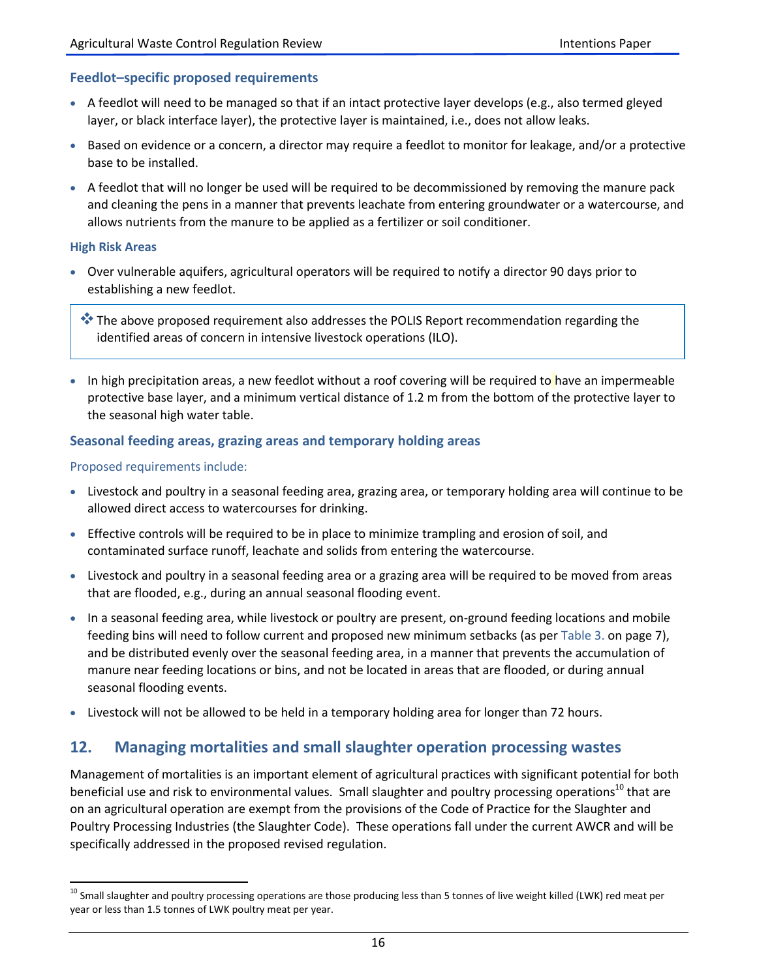## **Feedlot–specific proposed requirements**

- A feedlot will need to be managed so that if an intact protective layer develops (e.g., also termed gleyed layer, or black interface layer), the protective layer is maintained, i.e., does not allow leaks.
- Based on evidence or a concern, a director may require a feedlot to monitor for leakage, and/or a protective base to be installed.
- A feedlot that will no longer be used will be required to be decommissioned by removing the manure pack and cleaning the pens in a manner that prevents leachate from entering groundwater or a watercourse, and allows nutrients from the manure to be applied as a fertilizer or soil conditioner.

#### **High Risk Areas**

 $\overline{\phantom{a}}$ 

 Over vulnerable aquifers, agricultural operators will be required to notify a director 90 days prior to establishing a new feedlot.

**\*\*** The above proposed requirement also addresses the POLIS Report recommendation regarding the identified areas of concern in intensive livestock operations (ILO).

In high precipitation areas, a new feedlot without a roof covering will be required to have an impermeable protective base layer, and a minimum vertical distance of 1.2 m from the bottom of the protective layer to the seasonal high water table.

### **Seasonal feeding areas, grazing areas and temporary holding areas**

#### Proposed requirements include:

- Livestock and poultry in a seasonal feeding area, grazing area, or temporary holding area will continue to be allowed direct access to watercourses for drinking.
- Effective controls will be required to be in place to minimize trampling and erosion of soil, and contaminated surface runoff, leachate and solids from entering the watercourse.
- Livestock and poultry in a seasonal feeding area or a grazing area will be required to be moved from areas that are flooded, e.g., during an annual seasonal flooding event.
- In a seasonal feeding area, while livestock or poultry are present, on-ground feeding locations and mobile feeding bins will need to follow current and proposed new minimum setbacks (as per Table 3. on page 7), and be distributed evenly over the seasonal feeding area, in a manner that prevents the accumulation of manure near feeding locations or bins, and not be located in areas that are flooded, or during annual seasonal flooding events.
- Livestock will not be allowed to be held in a temporary holding area for longer than 72 hours.

## **12. Managing mortalities and small slaughter operation processing wastes**

Management of mortalities is an important element of agricultural practices with significant potential for both beneficial use and risk to environmental values. Small slaughter and poultry processing operations<sup>10</sup> that are on an agricultural operation are exempt from the provisions of the Code of Practice for the Slaughter and Poultry Processing Industries (the Slaughter Code). These operations fall under the current AWCR and will be specifically addressed in the proposed revised regulation.

<sup>&</sup>lt;sup>10</sup> Small slaughter and poultry processing operations are those producing less than 5 tonnes of live weight killed (LWK) red meat per year or less than 1.5 tonnes of LWK poultry meat per year.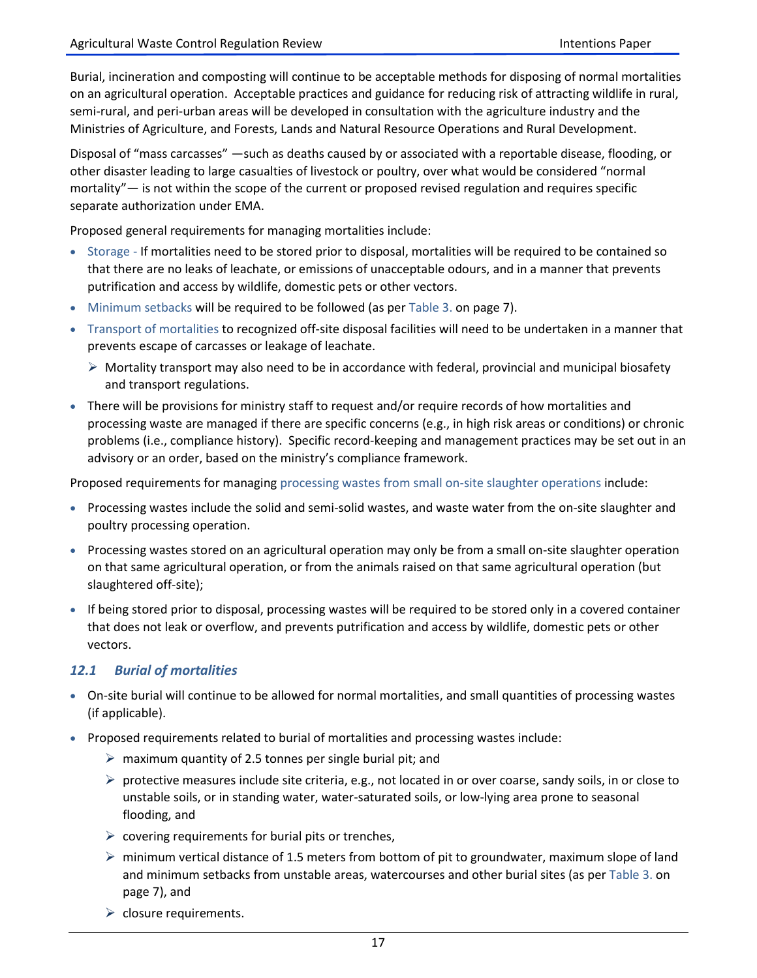Burial, incineration and composting will continue to be acceptable methods for disposing of normal mortalities on an agricultural operation. Acceptable practices and guidance for reducing risk of attracting wildlife in rural, semi-rural, and peri-urban areas will be developed in consultation with the agriculture industry and the Ministries of Agriculture, and Forests, Lands and Natural Resource Operations and Rural Development.

Disposal of "mass carcasses" —such as deaths caused by or associated with a reportable disease, flooding, or other disaster leading to large casualties of livestock or poultry, over what would be considered "normal mortality"— is not within the scope of the current or proposed revised regulation and requires specific separate authorization under EMA.

Proposed general requirements for managing mortalities include:

- Storage If mortalities need to be stored prior to disposal, mortalities will be required to be contained so that there are no leaks of leachate, or emissions of unacceptable odours, and in a manner that prevents putrification and access by wildlife, domestic pets or other vectors.
- Minimum setbacks will be required to be followed (as per Table 3. on page 7).
- Transport of mortalities to recognized off-site disposal facilities will need to be undertaken in a manner that prevents escape of carcasses or leakage of leachate.
	- $\triangleright$  Mortality transport may also need to be in accordance with federal, provincial and municipal biosafety and transport regulations.
- There will be provisions for ministry staff to request and/or require records of how mortalities and processing waste are managed if there are specific concerns (e.g., in high risk areas or conditions) or chronic problems (i.e., compliance history). Specific record-keeping and management practices may be set out in an advisory or an order, based on the ministry's compliance framework.

Proposed requirements for managing processing wastes from small on-site slaughter operations include:

- Processing wastes include the solid and semi-solid wastes, and waste water from the on-site slaughter and poultry processing operation.
- Processing wastes stored on an agricultural operation may only be from a small on-site slaughter operation on that same agricultural operation, or from the animals raised on that same agricultural operation (but slaughtered off-site);
- If being stored prior to disposal, processing wastes will be required to be stored only in a covered container that does not leak or overflow, and prevents putrification and access by wildlife, domestic pets or other vectors.

## *12.1 Burial of mortalities*

- On-site burial will continue to be allowed for normal mortalities, and small quantities of processing wastes (if applicable).
- Proposed requirements related to burial of mortalities and processing wastes include:
	- $\triangleright$  maximum quantity of 2.5 tonnes per single burial pit; and
	- $\triangleright$  protective measures include site criteria, e.g., not located in or over coarse, sandy soils, in or close to unstable soils, or in standing water, water-saturated soils, or low-lying area prone to seasonal flooding, and
	- $\triangleright$  covering requirements for burial pits or trenches,
	- $\triangleright$  minimum vertical distance of 1.5 meters from bottom of pit to groundwater, maximum slope of land and minimum setbacks from unstable areas, watercourses and other burial sites (as per Table 3. on page 7), and
	- $\triangleright$  closure requirements.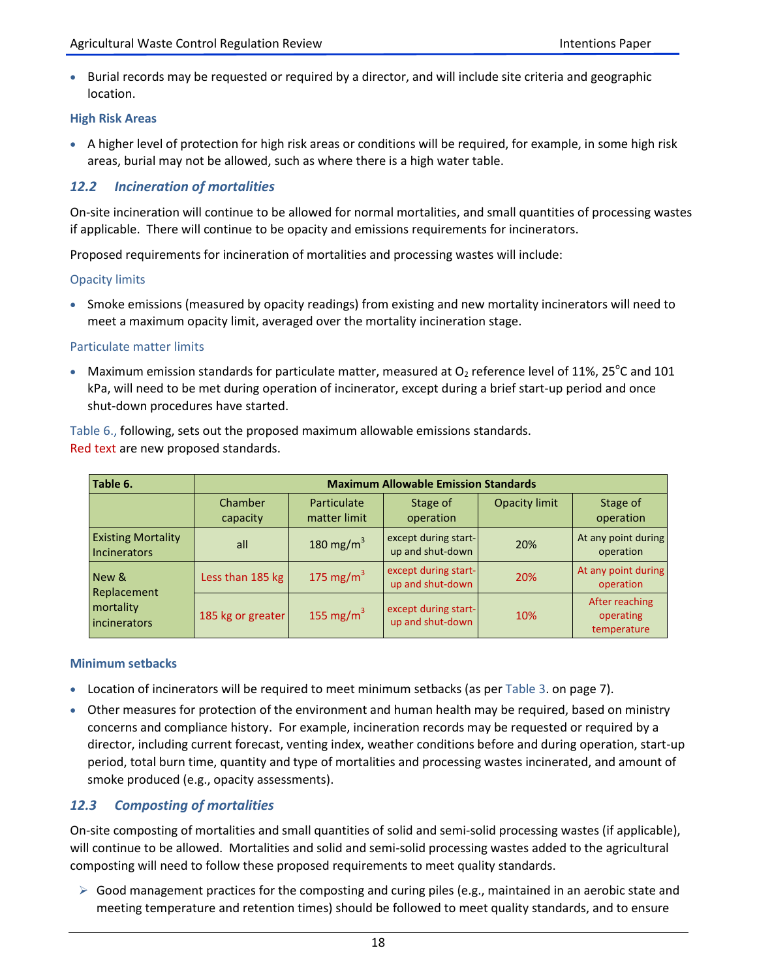• Burial records may be requested or required by a director, and will include site criteria and geographic location.

## **High Risk Areas**

 A higher level of protection for high risk areas or conditions will be required, for example, in some high risk areas, burial may not be allowed, such as where there is a high water table.

## *12.2 Incineration of mortalities*

On-site incineration will continue to be allowed for normal mortalities, and small quantities of processing wastes if applicable. There will continue to be opacity and emissions requirements for incinerators.

Proposed requirements for incineration of mortalities and processing wastes will include:

### Opacity limits

• Smoke emissions (measured by opacity readings) from existing and new mortality incinerators will need to meet a maximum opacity limit, averaged over the mortality incineration stage.

### Particulate matter limits

• Maximum emission standards for particulate matter, measured at  $O_2$  reference level of 11%, 25°C and 101 kPa, will need to be met during operation of incinerator, except during a brief start-up period and once shut-down procedures have started.

Table 6., following, sets out the proposed maximum allowable emissions standards. Red text are new proposed standards.

| Table 6.                                                 | <b>Maximum Allowable Emission Standards</b> |                             |                                          |                      |                                            |
|----------------------------------------------------------|---------------------------------------------|-----------------------------|------------------------------------------|----------------------|--------------------------------------------|
|                                                          | Chamber<br>capacity                         | Particulate<br>matter limit | Stage of<br>operation                    | <b>Opacity limit</b> | Stage of<br>operation                      |
| <b>Existing Mortality</b><br><b>Incinerators</b>         | all                                         | 180 mg/m <sup>3</sup>       | except during start-<br>up and shut-down | 20%                  | At any point during<br>operation           |
| New &<br>Replacement<br>mortality<br><i>incinerators</i> | Less than 185 kg                            | 175 mg/m $3$                | except during start-<br>up and shut-down | 20%                  | At any point during<br>operation           |
|                                                          | 185 kg or greater                           | 155 mg/m <sup>3</sup>       | except during start-<br>up and shut-down | 10%                  | After reaching<br>operating<br>temperature |

#### **Minimum setbacks**

- Location of incinerators will be required to meet minimum setbacks (as per Table 3. on page 7).
- Other measures for protection of the environment and human health may be required, based on ministry concerns and compliance history. For example, incineration records may be requested or required by a director, including current forecast, venting index, weather conditions before and during operation, start-up period, total burn time, quantity and type of mortalities and processing wastes incinerated, and amount of smoke produced (e.g., opacity assessments).

## *12.3 Composting of mortalities*

On-site composting of mortalities and small quantities of solid and semi-solid processing wastes (if applicable), will continue to be allowed. Mortalities and solid and semi-solid processing wastes added to the agricultural composting will need to follow these proposed requirements to meet quality standards.

 $\triangleright$  Good management practices for the composting and curing piles (e.g., maintained in an aerobic state and meeting temperature and retention times) should be followed to meet quality standards, and to ensure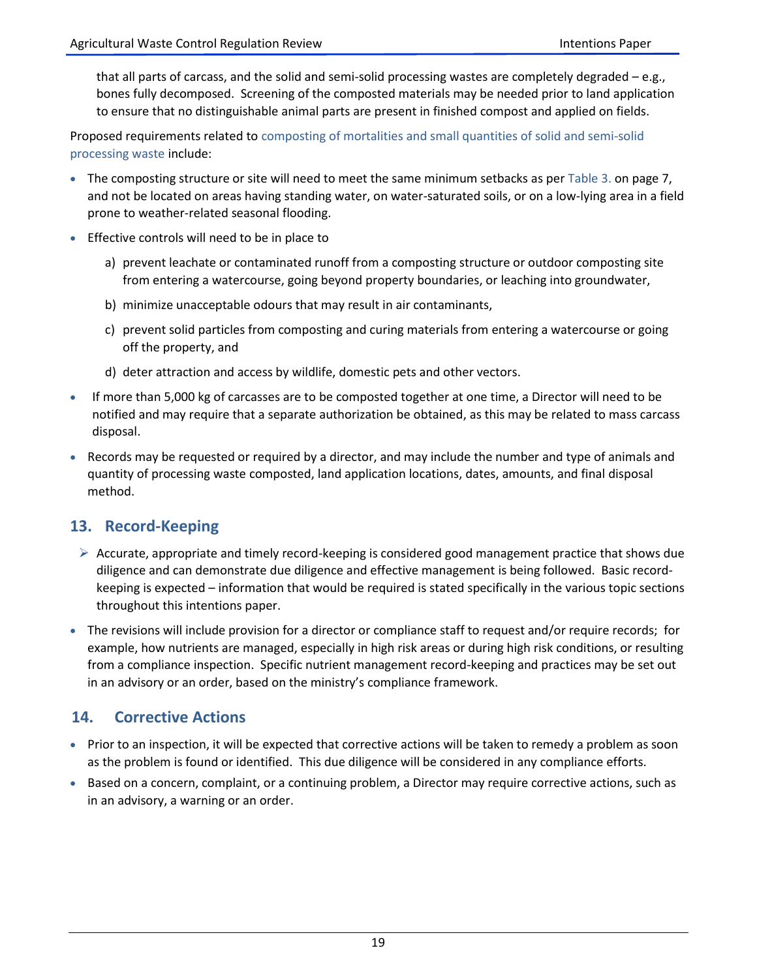that all parts of carcass, and the solid and semi-solid processing wastes are completely degraded – e.g., bones fully decomposed. Screening of the composted materials may be needed prior to land application to ensure that no distinguishable animal parts are present in finished compost and applied on fields.

Proposed requirements related to composting of mortalities and small quantities of solid and semi-solid processing waste include:

- The composting structure or site will need to meet the same minimum setbacks as per Table 3. on page 7, and not be located on areas having standing water, on water-saturated soils, or on a low-lying area in a field prone to weather-related seasonal flooding.
- **Effective controls will need to be in place to** 
	- a) prevent leachate or contaminated runoff from a composting structure or outdoor composting site from entering a watercourse, going beyond property boundaries, or leaching into groundwater,
	- b) minimize unacceptable odours that may result in air contaminants,
	- c) prevent solid particles from composting and curing materials from entering a watercourse or going off the property, and
	- d) deter attraction and access by wildlife, domestic pets and other vectors.
- If more than 5,000 kg of carcasses are to be composted together at one time, a Director will need to be notified and may require that a separate authorization be obtained, as this may be related to mass carcass disposal.
- Records may be requested or required by a director, and may include the number and type of animals and quantity of processing waste composted, land application locations, dates, amounts, and final disposal method.

# **13. Record-Keeping**

- $\triangleright$  Accurate, appropriate and timely record-keeping is considered good management practice that shows due diligence and can demonstrate due diligence and effective management is being followed. Basic recordkeeping is expected – information that would be required is stated specifically in the various topic sections throughout this intentions paper.
- The revisions will include provision for a director or compliance staff to request and/or require records; for example, how nutrients are managed, especially in high risk areas or during high risk conditions, or resulting from a compliance inspection. Specific nutrient management record-keeping and practices may be set out in an advisory or an order, based on the ministry's compliance framework.

# **14. Corrective Actions**

- Prior to an inspection, it will be expected that corrective actions will be taken to remedy a problem as soon as the problem is found or identified. This due diligence will be considered in any compliance efforts.
- **Based on a concern, complaint, or a continuing problem, a Director may require corrective actions, such as** in an advisory, a warning or an order.